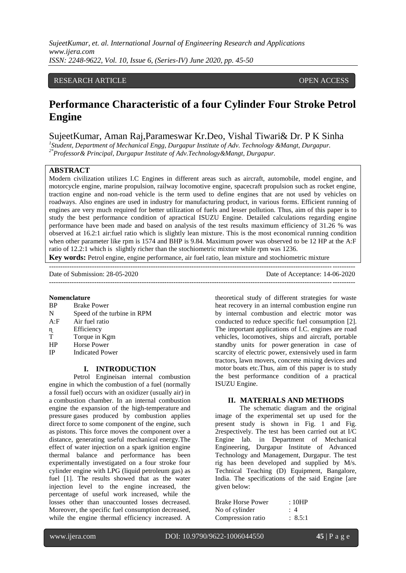# RESEARCH ARTICLE **CONSERVERS** OPEN ACCESS

# **Performance Characteristic of a four Cylinder Four Stroke Petrol Engine**

SujeetKumar, Aman Raj,Parameswar Kr.Deo, Vishal Tiwari& Dr. P K Sinha

*1 Student, Department of Mechanical Engg, Durgapur Institute of Adv. Technology &Mangt, Durgapur. 2\*Professor& Principal, Durgapur Institute of Adv.Technology&Mangt, Durgapur.*

#### **ABSTRACT**

Modern civilization utilizes I.C Engines in different areas such as aircraft, automobile, model engine, and motorcycle engine, marine propulsion, railway locomotive engine, spacecraft propulsion such as rocket engine, traction engine and non-road vehicle is the term used to define engines that are not used by vehicles on roadways. Also engines are used in industry for manufacturing product, in various forms. Efficient running of engines are very much required for better utilization of fuels and lesser pollution. Thus, aim of this paper is to study the best performance condition of apractical ISUZU Engine. Detailed calculations regarding engine performance have been made and based on analysis of the test results maximum efficiency of 31.26 % was observed at 16.2:1 air:fuel ratio which is slightly lean mixture. This is the most economical running condition when other parameter like rpm is 1574 and BHP is 9.84. Maximum power was observed to be 12 HP at the A:F ratio of 12.2:1 which is slightly richer than the stochiometric mixture while rpm was 1236.

**Key words:** Petrol engine, engine performance, air fuel ratio, lean mixture and stochiometric mixture

--------------------------------------------------------------------------------------------------------------------------------------- Date of Submission: 28-05-2020 Date of Acceptance: 14-06-2020  $-1-\frac{1}{2}$ 

#### **Nomenclature**

| ΒP   | <b>Brake Power</b>          |
|------|-----------------------------|
| N    | Speed of the turbine in RPM |
| A: F | Air fuel ratio              |
| η    | Efficiency                  |
| т    | Torque in Kgm               |
| HP   | Horse Power                 |
| IP   | <b>Indicated Power</b>      |
|      |                             |

# **I. INTRODUCTION**

Petrol Engineisan internal combustion engine in which the combustion of a fuel (normally a fossil fuel) occurs with an oxidizer (usually air) in a combustion chamber. In an internal combustion engine the expansion of the high-temperature and pressure gases produced by combustion applies direct force to some component of the engine, such as pistons. This force moves the component over a distance, generating useful mechanical energy.The effect of water injection on a spark ignition engine thermal balance and performance has been experimentally investigated on a four stroke four cylinder engine with LPG (liquid petroleum gas) as fuel [1]. The results showed that as the water injection level to the engine increased, the percentage of useful work increased, while the losses other than unaccounted losses decreased. Moreover, the specific fuel consumption decreased, while the engine thermal efficiency increased. A

theoretical study of different strategies for waste heat recovery in an internal combustion engine run by internal combustion and electric motor was conducted to reduce specific fuel consumption [2]. The important applications of I.C. engines are road vehicles, locomotives, ships and aircraft, portable standby units for power generation in case of scarcity of electric power, extensively used in farm tractors, lawn movers, concrete mixing devices and motor boats etc.Thus, aim of this paper is to study the best performance condition of a practical ISUZU Engine.

## **II. MATERIALS AND METHODS**

The schematic diagram and the original image of the experimental set up used for the present study is shown in Fig. 1 and Fig. 2respectively. The test has been carried out at I/C Engine lab. in Department of Mechanical Engineering, Durgapur Institute of Advanced Technology and Management, Durgapur. The test rig has been developed and supplied by M/s. Technical Teaching (D) Equipment, Bangalore, India. The specifications of the said Engine [are given below:

| <b>Brake Horse Power</b> | :10HP    |
|--------------------------|----------|
| No of cylinder           | $\div$ 4 |
| Compression ratio        | : 8.5:1  |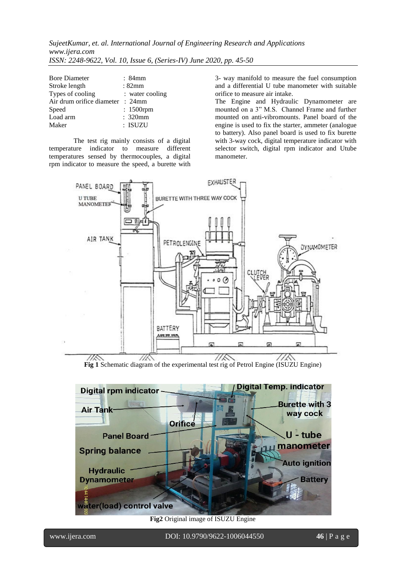| <b>Bore Diameter</b>                        | : 84mm          |
|---------------------------------------------|-----------------|
| Stroke length                               | : 82mm          |
| Types of cooling                            | : water cooling |
| Air drum orifice diameter $\therefore$ 24mm |                 |
| Speed                                       | $: 1500$ rpm    |
| Load arm                                    | : 320mm         |
| Maker                                       | : ISUZU         |

The test rig mainly consists of a digital temperature indicator to measure different temperatures sensed by thermocouples, a digital rpm indicator to measure the speed, a burette with

3- way manifold to measure the fuel consumption and a differential U tube manometer with suitable orifice to measure air intake.

The Engine and Hydraulic Dynamometer are mounted on a 3" M.S. Channel Frame and further mounted on anti-vibromounts. Panel board of the engine is used to fix the starter, ammeter (analogue to battery). Also panel board is used to fix burette with 3-way cock, digital temperature indicator with selector switch, digital rpm indicator and Utube manometer.



**Fig 1** Schematic diagram of the experimental test rig of Petrol Engine (ISUZU Engine)



**Fig2** Original image of ISUZU Engine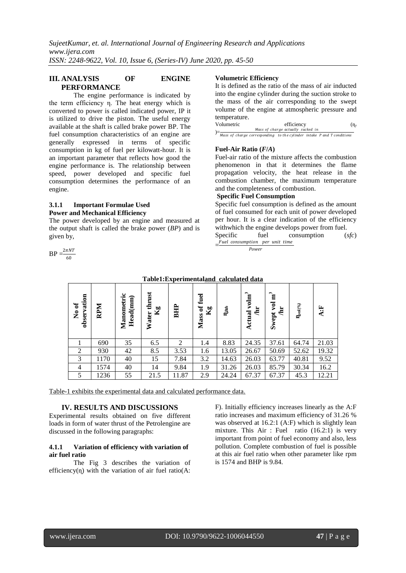# **III. ANALYSIS OF ENGINE PERFORMANCE**

The engine performance is indicated by the term efficiency η. The heat energy which is converted to power is called indicated power, IP it is utilized to drive the piston. The useful energy available at the shaft is called brake power BP. The fuel consumption characteristics of an engine are generally expressed in terms of specific consumption in kg of fuel per kilowatt-hour. It is an important parameter that reflects how good the engine performance is. The relationship between speed, power developed and specific fuel consumption determines the performance of an engine.

#### **3.1.1 Important Formulae Used Power and Mechanical Efficiency**

The power developed by an engine and measured at the output shaft is called the brake power (*BP*) and is given by,

$$
BP = \frac{2\pi NT}{60}
$$

# **Volumetric Efficiency**

It is defined as the ratio of the mass of air inducted into the engine cylinder during the suction stroke to the mass of the air corresponding to the swept volume of the engine at atmospheric pressure and temperature.

| Volumetric |  | $(n_v)$                                                                |  |
|------------|--|------------------------------------------------------------------------|--|
|            |  | Mass of charge actually sucked in                                      |  |
|            |  | Mass of charge corresponding to the cylinder intake P and T conditions |  |

# **Fuel-Air Ratio (***F***/***A***)**

Fuel-air ratio of the mixture affects the combustion phenomenon in that it determines the flame propagation velocity, the heat release in the combustion chamber, the maximum temperature and the completeness of combustion.

## **Specific Fuel Consumption**

Specific fuel consumption is defined as the amount of fuel consumed for each unit of power developed per hour. It is a clear indication of the efficiency withwhich the engine develops power from fuel. Specific fuel consumption (*sfc*)  $=\frac{Fuel \; consumption}{P}$  per unit time

Power

| vation<br>$\sigma$<br>$\tilde{\mathbf{z}}$<br>obser | RPM  | Manometric<br>Head(mm) | Tabic1.Expc1inichtarang_caicmated_uata<br>thrust<br>$\mathbf{Kg}$<br>Water | BHP   | fuel<br>$\mathbf{0} \mathbf{f}$<br>$\mathbf{Kg}$<br>Mass | $\mathbf{l}_{Bth}$ | ${\bf v} {\bf o} {\bf l} {\bf m}^3$<br>Ĕ<br>Actual | $\mathbf{F}$<br>$\overline{\mathbf{e}}$<br>희<br>Swept | $\mathbf{I}_{\boldsymbol{\mathrm{bol}}}(\%)$ | A:F   |
|-----------------------------------------------------|------|------------------------|----------------------------------------------------------------------------|-------|----------------------------------------------------------|--------------------|----------------------------------------------------|-------------------------------------------------------|----------------------------------------------|-------|
|                                                     | 690  | 35                     | 6.5                                                                        | 2     | 1.4                                                      | 8.83               | 24.35                                              | 37.61                                                 | 64.74                                        | 21.03 |
| $\overline{2}$                                      | 930  | 42                     | 8.5                                                                        | 3.53  | 1.6                                                      | 13.05              | 26.67                                              | 50.69                                                 | 52.62                                        | 19.32 |
| 3                                                   | 1170 | 40                     | 15                                                                         | 7.84  | 3.2                                                      | 14.63              | 26.03                                              | 63.77                                                 | 40.81                                        | 9.52  |
| $\overline{4}$                                      | 1574 | 40                     | 14                                                                         | 9.84  | 1.9                                                      | 31.26              | 26.03                                              | 85.79                                                 | 30.34                                        | 16.2  |
| 5                                                   | 1236 | 55                     | 21.5                                                                       | 11.87 | 2.9                                                      | 24.24              | 67.37                                              | 67.37                                                 | 45.3                                         | 12.21 |

## **Table1:Experimentaland calculated data**

Table-1 exhibits the experimental data and calculated performance data.

# **IV. RESULTS AND DISCUSSIONS**

Experimental results obtained on five different loads in form of water thrust of the Petrolengine are discussed in the following paragraphs:

## **4.1.1 Variation of efficiency with variation of air fuel ratio**

The Fig 3 describes the variation of efficiency $(\eta)$  with the variation of air fuel ratio(A:

F). Initially efficiency increases linearly as the A:F ratio increases and maximum efficiency of 31.26 % was observed at 16.2:1 (A:F) which is slightly lean mixture. This Air : Fuel ratio (16.2:1) is very important from point of fuel economy and also, less pollution. Complete combustion of fuel is possible at this air fuel ratio when other parameter like rpm is 1574 and BHP is 9.84.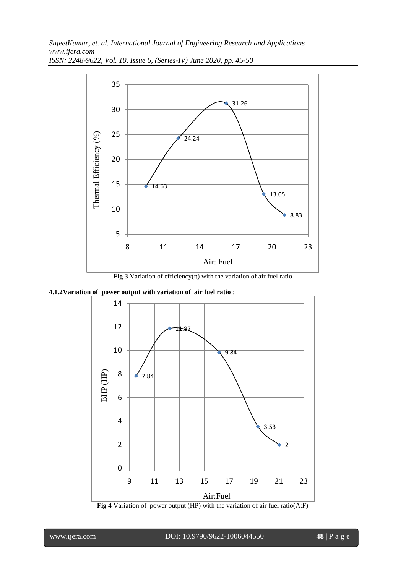

**Fig 3** Variation of efficiency $(n)$  with the variation of air fuel ratio

**4.1.2Variation of power output with variation of air fuel ratio** :



**Fig 4** Variation of power output (HP) with the variation of air fuel ratio(A:F)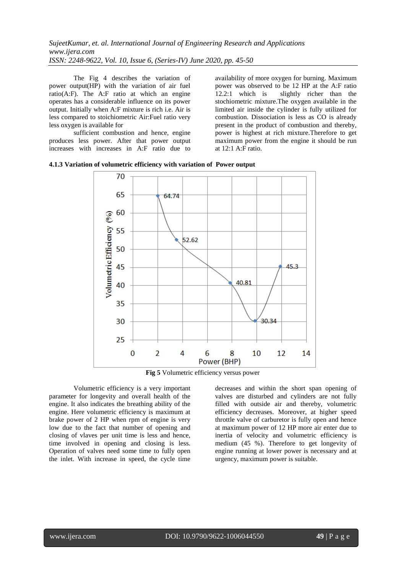The Fig 4 describes the variation of power output(HP) with the variation of air fuel ratio(A:F). The A:F ratio at which an engine operates has a considerable influence on its power output. Initially when A:F mixture is rich i.e. Air is less compared to stoichiometric Air:Fuel ratio very less oxygen is available for

sufficient combustion and hence, engine produces less power. After that power output increases with increases in A:F ratio due to availability of more oxygen for burning. Maximum power was observed to be 12 HP at the A:F ratio 12.2:1 which is slightly richer than the stochiometric mixture.The oxygen available in the limited air inside the cylinder is fully utilized for combustion. Dissociation is less as CO is already present in the product of combustion and thereby, power is highest at rich mixture.Therefore to get maximum power from the engine it should be run at 12:1 A:F ratio.

**4.1.3 Variation of volumetric efficiency with variation of Power output** 



**Fig 5** Volumetric efficiency versus power

Volumetric efficiency is a very important parameter for longevity and overall health of the engine. It also indicates the breathing ability of the engine. Here volumetric efficiency is maximum at brake power of 2 HP when rpm of engine is very low due to the fact that number of opening and closing of vlaves per unit time is less and hence, time involved in opening and closing is less. Operation of valves need some time to fully open the inlet. With increase in speed, the cycle time

decreases and within the short span opening of valves are disturbed and cylinders are not fully filled with outside air and thereby, volumetric efficiency decreases. Moreover, at higher speed throttle valve of carburetor is fully open and hence at maximum power of 12 HP more air enter due to inertia of velocity and volumetric efficiency is medium (45 %). Therefore to get longevity of engine running at lower power is necessary and at urgency, maximum power is suitable.